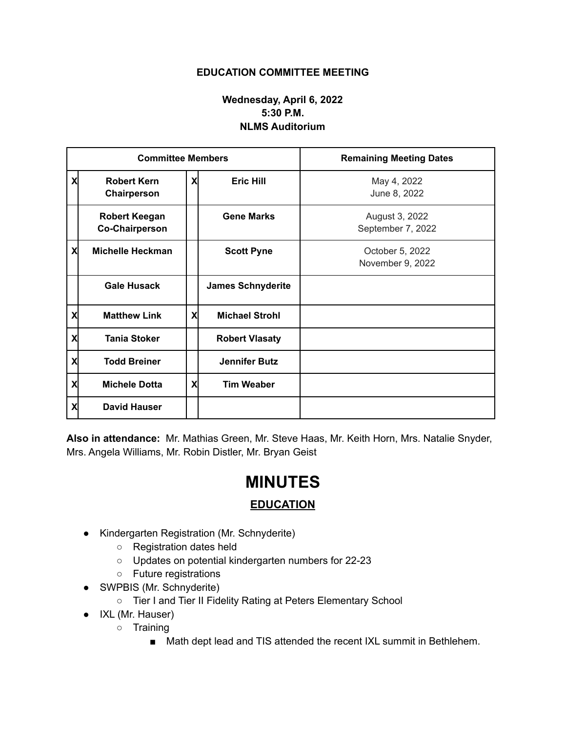## **EDUCATION COMMITTEE MEETING**

## **Wednesday, April 6, 2022 5:30 P.M. NLMS Auditorium**

| <b>Committee Members</b> |                                               |   |                          | <b>Remaining Meeting Dates</b>      |
|--------------------------|-----------------------------------------------|---|--------------------------|-------------------------------------|
| X                        | <b>Robert Kern</b><br>Chairperson             | X | <b>Eric Hill</b>         | May 4, 2022<br>June 8, 2022         |
|                          | <b>Robert Keegan</b><br><b>Co-Chairperson</b> |   | <b>Gene Marks</b>        | August 3, 2022<br>September 7, 2022 |
| X                        | <b>Michelle Heckman</b>                       |   | <b>Scott Pyne</b>        | October 5, 2022<br>November 9, 2022 |
|                          | <b>Gale Husack</b>                            |   | <b>James Schnyderite</b> |                                     |
| X                        | <b>Matthew Link</b>                           | X | <b>Michael Strohl</b>    |                                     |
| X                        | <b>Tania Stoker</b>                           |   | <b>Robert Vlasaty</b>    |                                     |
| X                        | <b>Todd Breiner</b>                           |   | <b>Jennifer Butz</b>     |                                     |
| X                        | <b>Michele Dotta</b>                          | X | <b>Tim Weaber</b>        |                                     |
| X                        | <b>David Hauser</b>                           |   |                          |                                     |

**Also in attendance:** Mr. Mathias Green, Mr. Steve Haas, Mr. Keith Horn, Mrs. Natalie Snyder, Mrs. Angela Williams, Mr. Robin Distler, Mr. Bryan Geist

## **MINUTES**

## **EDUCATION**

- Kindergarten Registration (Mr. Schnyderite)
	- Registration dates held
	- Updates on potential kindergarten numbers for 22-23
	- Future registrations
- SWPBIS (Mr. Schnyderite)
	- Tier I and Tier II Fidelity Rating at Peters Elementary School
- IXL (Mr. Hauser)
	- Training
		- Math dept lead and TIS attended the recent IXL summit in Bethlehem.